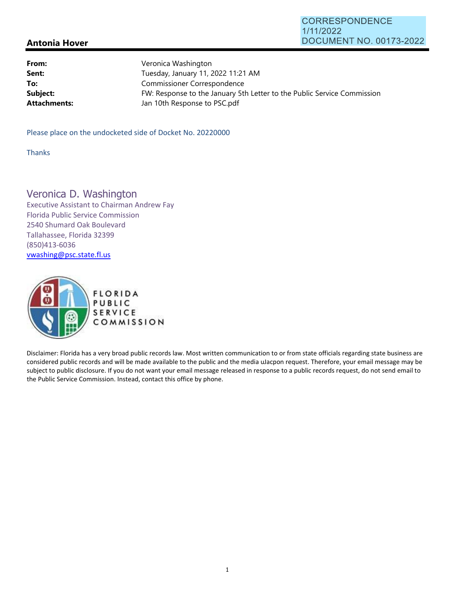**CORRESPONDENCE** 1/11/2022 **DOCUMENT NO. 00173-2022** 

## **Antonia Hover**

| From:        | Veronica Washington                                                     |
|--------------|-------------------------------------------------------------------------|
| Sent:        | Tuesday, January 11, 2022 11:21 AM                                      |
| To:          | Commissioner Correspondence                                             |
| Subject:     | FW: Response to the January 5th Letter to the Public Service Commission |
| Attachments: | Jan 10th Response to PSC.pdf                                            |
|              |                                                                         |

Please place on the undocketed side of Docket No. 20220000

Thanks

Veronica D. Washington Executive Assistant to Chairman Andrew Fay Florida Public Service Commission 2540 Shumard Oak Boulevard Tallahassee, Florida 32399 (850)413‐6036

vwashing@psc.state.fl.us



Disclaimer: Florida has a very broad public records law. Most written communication to or from state officials regarding state business are considered public records and will be made available to the public and the media uJacpon request. Therefore, your email message may be subject to public disclosure. If you do not want your email message released in response to a public records request, do not send email to the Public Service Commission. Instead, contact this office by phone.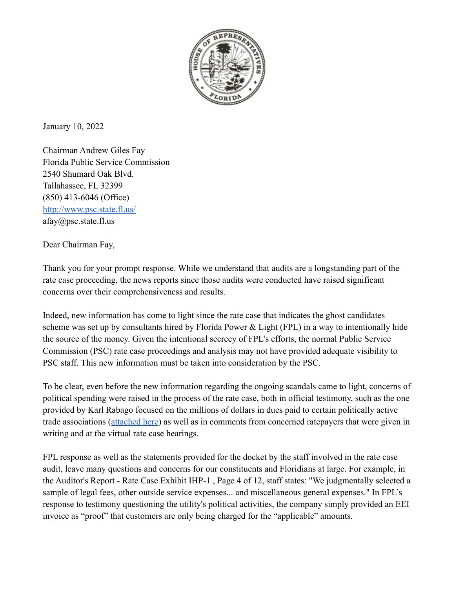

January 10, 2022

Chairman Andrew Giles Fay Florida Public Service Commission 2540 Shumard Oak Blvd. Tallahassee, FL 32399 (850) 413-6046 (Office) <http://www.psc.state.fl.us/> afay@psc.state.fl.us

Dear Chairman Fay,

Thank you for your prompt response. While we understand that audits are a longstanding part of the rate case proceeding, the news reports since those audits were conducted have raised significant concerns over their comprehensiveness and results.

Indeed, new information has come to light since the rate case that indicates the ghost candidates scheme was set up by consultants hired by Florida Power & Light (FPL) in a way to intentionally hide the source of the money. Given the intentional secrecy of FPL's efforts, the normal Public Service Commission (PSC) rate case proceedings and analysis may not have provided adequate visibility to PSC staff. This new information must be taken into consideration by the PSC.

To be clear, even before the new information regarding the ongoing scandals came to light, concerns of political spending were raised in the process of the rate case, both in official testimony, such as the one provided by Karl Rabago focused on the millions of dollars in dues paid to certain politically active trade associations ([attached here](http://www.ripuc.ri.gov/eventsactions/docket/4568-WED-Ex2-Rabago-Resume.pdf)) as well as in comments from concerned ratepayers that were given in writing and at the virtual rate case hearings.

FPL response as well as the statements provided for the docket by the staff involved in the rate case audit, leave many questions and concerns for our constituents and Floridians at large. For example, in the Auditor's Report - Rate Case Exhibit IHP-1 , Page 4 of 12, staff states: "We judgmentally selected a sample of legal fees, other outside service expenses... and miscellaneous general expenses." In FPL's response to testimony questioning the utility's political activities, the company simply provided an EEI invoice as "proof" that customers are only being charged for the "applicable" amounts.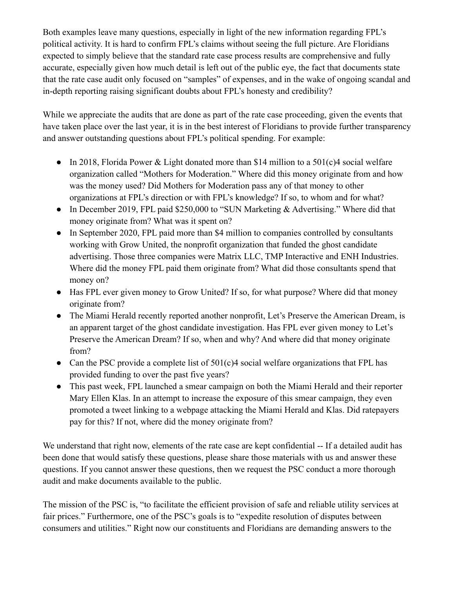Both examples leave many questions, especially in light of the new information regarding FPL's political activity. It is hard to confirm FPL's claims without seeing the full picture. Are Floridians expected to simply believe that the standard rate case process results are comprehensive and fully accurate, especially given how much detail is left out of the public eye, the fact that documents state that the rate case audit only focused on "samples" of expenses, and in the wake of ongoing scandal and in-depth reporting raising significant doubts about FPL's honesty and credibility?

While we appreciate the audits that are done as part of the rate case proceeding, given the events that have taken place over the last year, it is in the best interest of Floridians to provide further transparency and answer outstanding questions about FPL's political spending. For example:

- In 2018, Florida Power & Light donated more than \$14 million to a  $501(c)4$  social welfare organization called "Mothers for Moderation." Where did this money originate from and how was the money used? Did Mothers for Moderation pass any of that money to other organizations at FPL's direction or with FPL's knowledge? If so, to whom and for what?
- In December 2019, FPL paid \$250,000 to "SUN Marketing & Advertising." Where did that money originate from? What was it spent on?
- In September 2020, FPL paid more than \$4 million to companies controlled by consultants working with Grow United, the nonprofit organization that funded the ghost candidate advertising. Those three companies were Matrix LLC, TMP Interactive and ENH Industries. Where did the money FPL paid them originate from? What did those consultants spend that money on?
- Has FPL ever given money to Grow United? If so, for what purpose? Where did that money originate from?
- The Miami Herald recently reported another nonprofit, Let's Preserve the American Dream, is an apparent target of the ghost candidate investigation. Has FPL ever given money to Let's Preserve the American Dream? If so, when and why? And where did that money originate from?
- Can the PSC provide a complete list of  $501(c)4$  social welfare organizations that FPL has provided funding to over the past five years?
- This past week, FPL launched a smear campaign on both the Miami Herald and their reporter Mary Ellen Klas. In an attempt to increase the exposure of this smear campaign, they even promoted a tweet linking to a webpage attacking the Miami Herald and Klas. Did ratepayers pay for this? If not, where did the money originate from?

We understand that right now, elements of the rate case are kept confidential -- If a detailed audit has been done that would satisfy these questions, please share those materials with us and answer these questions. If you cannot answer these questions, then we request the PSC conduct a more thorough audit and make documents available to the public.

The mission of the PSC is, "to facilitate the efficient provision of safe and reliable utility services at fair prices." Furthermore, one of the PSC's goals is to "expedite resolution of disputes between consumers and utilities." Right now our constituents and Floridians are demanding answers to the